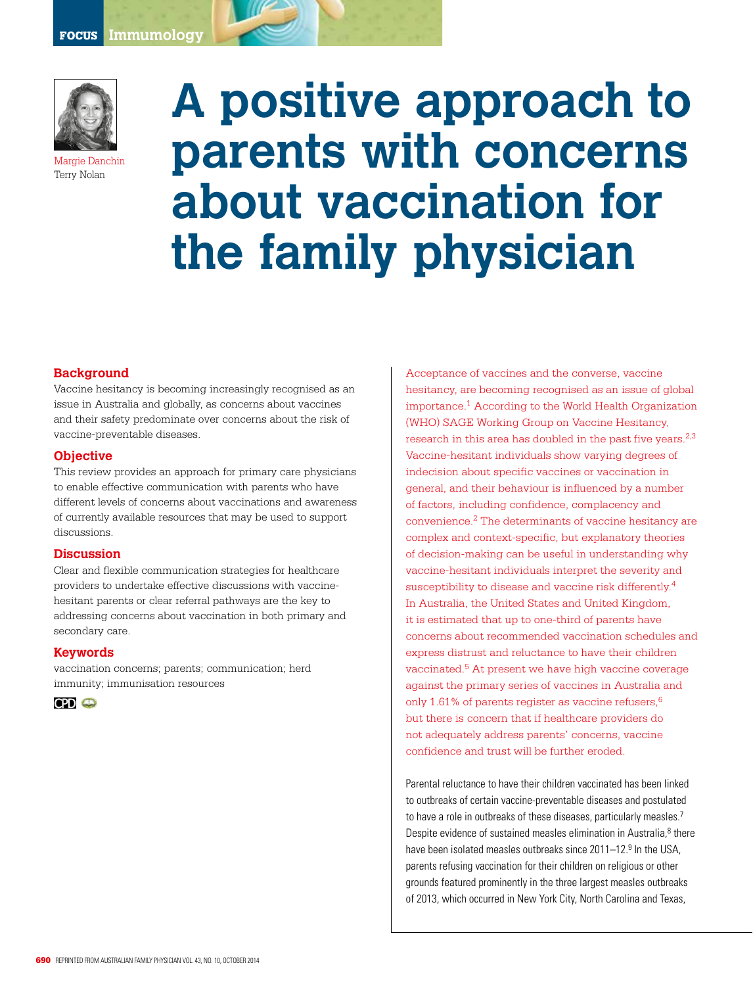

Margie Danchin Terry Nolan

# **A positive approach to parents with concerns about vaccination for the family physician**

## **Background**

Vaccine hesitancy is becoming increasingly recognised as an issue in Australia and globally, as concerns about vaccines and their safety predominate over concerns about the risk of vaccine-preventable diseases.

## **Objective**

This review provides an approach for primary care physicians to enable effective communication with parents who have different levels of concerns about vaccinations and awareness of currently available resources that may be used to support discussions.

### **Discussion**

Clear and flexible communication strategies for healthcare providers to undertake effective discussions with vaccinehesitant parents or clear referral pathways are the key to addressing concerns about vaccination in both primary and secondary care.

### **Keywords**

vaccination concerns; parents; communication; herd immunity; immunisation resources



Acceptance of vaccines and the converse, vaccine hesitancy, are becoming recognised as an issue of global importance.1 According to the World Health Organization (WHO) SAGE Working Group on Vaccine Hesitancy, research in this area has doubled in the past five years.<sup>2,3</sup> Vaccine-hesitant individuals show varying degrees of indecision about specific vaccines or vaccination in general, and their behaviour is influenced by a number of factors, including confidence, complacency and convenience.2 The determinants of vaccine hesitancy are complex and context-specific, but explanatory theories of decision-making can be useful in understanding why vaccine-hesitant individuals interpret the severity and susceptibility to disease and vaccine risk differently.<sup>4</sup> In Australia, the United States and United Kingdom, it is estimated that up to one-third of parents have concerns about recommended vaccination schedules and express distrust and reluctance to have their children vaccinated.<sup>5</sup> At present we have high vaccine coverage against the primary series of vaccines in Australia and only 1.61% of parents register as vaccine refusers, $6$ but there is concern that if healthcare providers do not adequately address parents' concerns, vaccine confidence and trust will be further eroded.

Parental reluctance to have their children vaccinated has been linked to outbreaks of certain vaccine-preventable diseases and postulated to have a role in outbreaks of these diseases, particularly measles.<sup>7</sup> Despite evidence of sustained measles elimination in Australia,<sup>8</sup> there have been isolated measles outbreaks since 2011–12.<sup>9</sup> In the USA, parents refusing vaccination for their children on religious or other grounds featured prominently in the three largest measles outbreaks of 2013, which occurred in New York City, North Carolina and Texas,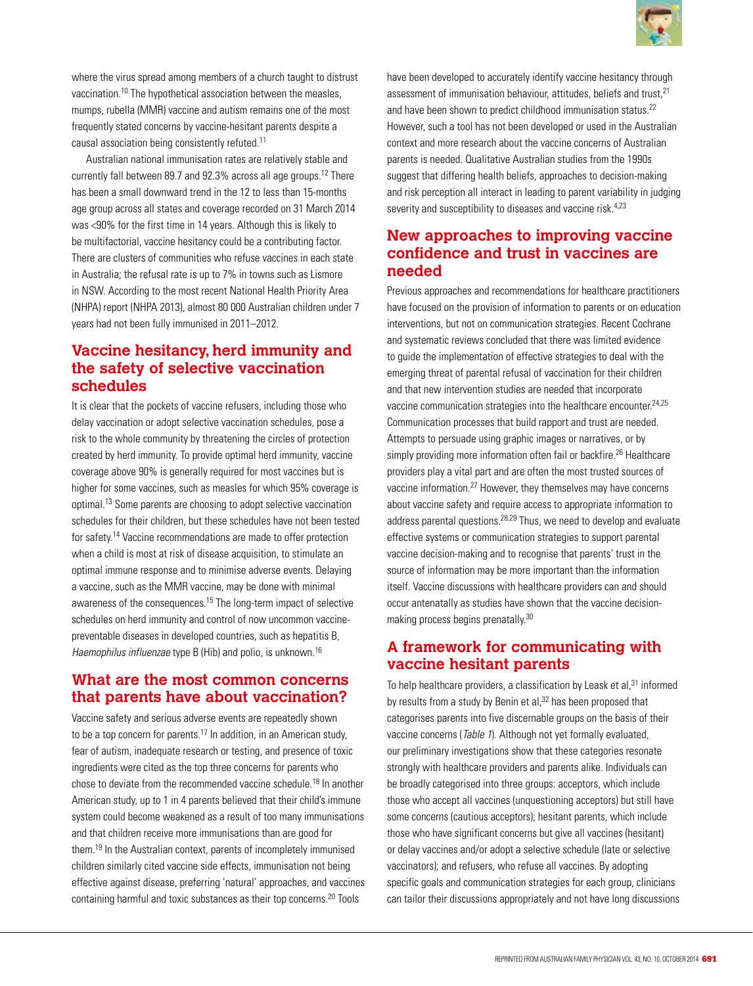

where the virus spread among members of a church taught to distrust vaccination.10 The hypothetical association between the measles, mumps, rubella (MMR) vaccine and autism remains one of the most frequently stated concerns by vaccine-hesitant parents despite a causal association being consistently refuted.11

Australian national immunisation rates are relatively stable and currently fall between 89.7 and 92.3% across all age groups.12 There has been a small downward trend in the 12 to less than 15-months age group across all states and coverage recorded on 31 March 2014 was <90% for the first time in 14 years. Although this is likely to be multifactorial, vaccine hesitancy could be a contributing factor. There are clusters of communities who refuse vaccines in each state in Australia; the refusal rate is up to 7% in towns such as Lismore in NSW. According to the most recent National Health Priority Area (NHPA) report (NHPA 2013), almost 80 000 Australian children under 7 years had not been fully immunised in 2011–2012.

# **Vaccine hesitancy, herd immunity and the safety of selective vaccination schedules**

It is clear that the pockets of vaccine refusers, including those who delay vaccination or adopt selective vaccination schedules, pose a risk to the whole community by threatening the circles of protection created by herd immunity. To provide optimal herd immunity, vaccine coverage above 90% is generally required for most vaccines but is higher for some vaccines, such as measles for which 95% coverage is optimal.13 Some parents are choosing to adopt selective vaccination schedules for their children, but these schedules have not been tested for safety.14 Vaccine recommendations are made to offer protection when a child is most at risk of disease acquisition, to stimulate an optimal immune response and to minimise adverse events. Delaying a vaccine, such as the MMR vaccine, may be done with minimal awareness of the consequences.15 The long-term impact of selective schedules on herd immunity and control of now uncommon vaccinepreventable diseases in developed countries, such as hepatitis B, Haemophilus influenzae type B (Hib) and polio, is unknown.<sup>16</sup>

# **What are the most common concerns that parents have about vaccination?**

Vaccine safety and serious adverse events are repeatedly shown to be a top concern for parents.17 In addition, in an American study, fear of autism, inadequate research or testing, and presence of toxic ingredients were cited as the top three concerns for parents who chose to deviate from the recommended vaccine schedule.18 In another American study, up to 1 in 4 parents believed that their child's immune system could become weakened as a result of too many immunisations and that children receive more immunisations than are good for them.19 In the Australian context, parents of incompletely immunised children similarly cited vaccine side effects, immunisation not being effective against disease, preferring 'natural' approaches, and vaccines containing harmful and toxic substances as their top concerns.20 Tools

have been developed to accurately identify vaccine hesitancy through assessment of immunisation behaviour, attitudes, beliefs and trust, <sup>21</sup> and have been shown to predict childhood immunisation status.<sup>22</sup> However, such a tool has not been developed or used in the Australian context and more research about the vaccine concerns of Australian parents is needed. Qualitative Australian studies from the 1990s suggest that differing health beliefs, approaches to decision-making and risk perception all interact in leading to parent variability in judging severity and susceptibility to diseases and vaccine risk.<sup>4,23</sup>

# **New approaches to improving vaccine confidence and trust in vaccines are needed**

Previous approaches and recommendations for healthcare practitioners have focused on the provision of information to parents or on education interventions, but not on communication strategies. Recent Cochrane and systematic reviews concluded that there was limited evidence to guide the implementation of effective strategies to deal with the emerging threat of parental refusal of vaccination for their children and that new intervention studies are needed that incorporate vaccine communication strategies into the healthcare encounter.<sup>24,25</sup> Communication processes that build rapport and trust are needed. Attempts to persuade using graphic images or narratives, or by simply providing more information often fail or backfire.<sup>26</sup> Healthcare providers play a vital part and are often the most trusted sources of vaccine information.27 However, they themselves may have concerns about vaccine safety and require access to appropriate information to address parental questions.28,29 Thus, we need to develop and evaluate effective systems or communication strategies to support parental vaccine decision-making and to recognise that parents' trust in the source of information may be more important than the information itself. Vaccine discussions with healthcare providers can and should occur antenatally as studies have shown that the vaccine decisionmaking process begins prenatally.30

# **A framework for communicating with vaccine hesitant parents**

To help healthcare providers, a classification by Leask et al, $31$  informed by results from a study by Benin et al,<sup>32</sup> has been proposed that categorises parents into five discernable groups on the basis of their vaccine concerns (*Table 1*). Although not yet formally evaluated, our preliminary investigations show that these categories resonate strongly with healthcare providers and parents alike. Individuals can be broadly categorised into three groups: acceptors, which include those who accept all vaccines (unquestioning acceptors) but still have some concerns (cautious acceptors); hesitant parents, which include those who have significant concerns but give all vaccines (hesitant) or delay vaccines and/or adopt a selective schedule (late or selective vaccinators); and refusers, who refuse all vaccines. By adopting specific goals and communication strategies for each group, clinicians can tailor their discussions appropriately and not have long discussions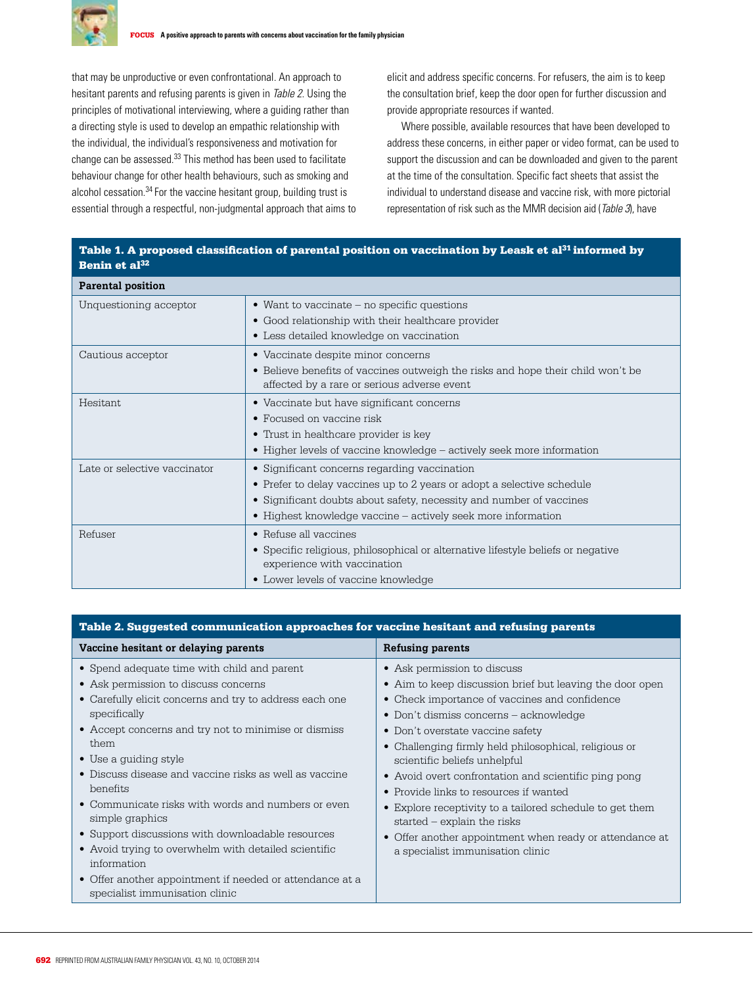

that may be unproductive or even confrontational. An approach to hesitant parents and refusing parents is given in Table 2. Using the principles of motivational interviewing, where a guiding rather than a directing style is used to develop an empathic relationship with the individual, the individual's responsiveness and motivation for change can be assessed.33 This method has been used to facilitate behaviour change for other health behaviours, such as smoking and alcohol cessation.<sup>34</sup> For the vaccine hesitant group, building trust is essential through a respectful, non-judgmental approach that aims to elicit and address specific concerns. For refusers, the aim is to keep the consultation brief, keep the door open for further discussion and provide appropriate resources if wanted.

Where possible, available resources that have been developed to address these concerns, in either paper or video format, can be used to support the discussion and can be downloaded and given to the parent at the time of the consultation. Specific fact sheets that assist the individual to understand disease and vaccine risk, with more pictorial representation of risk such as the MMR decision aid (Table 3), have

| <b>Parental position</b>     |                                                                                                     |
|------------------------------|-----------------------------------------------------------------------------------------------------|
| Unquestioning acceptor       | • Want to vaccinate $-$ no specific questions<br>• Good relationship with their healthcare provider |
|                              |                                                                                                     |
|                              | • Less detailed knowledge on vaccination                                                            |
| Cautious acceptor            | • Vaccinate despite minor concerns                                                                  |
|                              | • Believe benefits of vaccines outweigh the risks and hope their child won't be                     |
|                              | affected by a rare or serious adverse event                                                         |
| <b>Hesitant</b>              | • Vaccinate but have significant concerns                                                           |
|                              | • Focused on vaccine risk                                                                           |
|                              | • Trust in healthcare provider is key                                                               |
|                              | • Higher levels of vaccine knowledge - actively seek more information                               |
| Late or selective vaccinator | • Significant concerns regarding vaccination                                                        |
|                              | • Prefer to delay vaccines up to 2 years or adopt a selective schedule                              |
|                              | • Significant doubts about safety, necessity and number of vaccines                                 |
|                              | • Highest knowledge vaccine – actively seek more information                                        |
| Refuser                      | $\bullet$ Refuse all vaccines                                                                       |
|                              | • Specific religious, philosophical or alternative lifestyle beliefs or negative                    |
|                              | experience with vaccination                                                                         |
|                              | • Lower levels of vaccine knowledge                                                                 |

## Table 1. A proposed classification of parental position on vaccination by Leask et al<sup>31</sup> informed by Benin et al32

| Table 2. Suggested communication approaches for vaccine hesitant and refusing parents |                                                          |  |  |
|---------------------------------------------------------------------------------------|----------------------------------------------------------|--|--|
| Vaccine hesitant or delaying parents                                                  | <b>Refusing parents</b>                                  |  |  |
| • Spend adequate time with child and parent                                           | • Ask permission to discuss                              |  |  |
| • Ask permission to discuss concerns                                                  | • Aim to keep discussion brief but leaving the door open |  |  |
| • Carefully elicit concerns and try to address each one                               | • Check importance of vaccines and confidence            |  |  |
| specifically                                                                          | • Don't dismiss concerns – acknowledge                   |  |  |
| • Accept concerns and try not to minimise or dismiss                                  | • Don't overstate vaccine safety                         |  |  |
| them                                                                                  | • Challenging firmly held philosophical, religious or    |  |  |
| • Use a guiding style                                                                 | scientific beliefs unhelpful                             |  |  |
| • Discuss disease and vaccine risks as well as vaccine                                | • Avoid overt confrontation and scientific ping pong     |  |  |
| benefits                                                                              | • Provide links to resources if wanted                   |  |  |
| • Communicate risks with words and numbers or even                                    | • Explore receptivity to a tailored schedule to get them |  |  |
| simple graphics                                                                       | started $-$ explain the risks                            |  |  |
| • Support discussions with downloadable resources                                     | • Offer another appointment when ready or attendance at  |  |  |
| • Avoid trying to overwhelm with detailed scientific<br>information                   | a specialist immunisation clinic                         |  |  |
| • Offer another appointment if needed or attendance at a                              |                                                          |  |  |

specialist immunisation clinic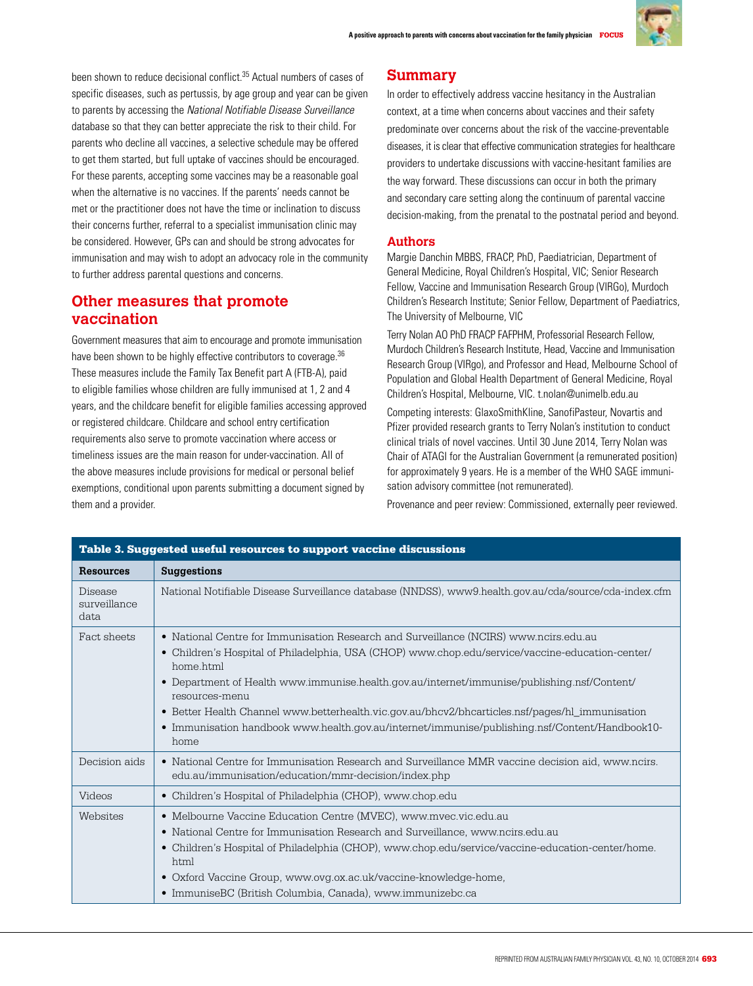

been shown to reduce decisional conflict.<sup>35</sup> Actual numbers of cases of specific diseases, such as pertussis, by age group and year can be given to parents by accessing the National Notifiable Disease Surveillance database so that they can better appreciate the risk to their child. For parents who decline all vaccines, a selective schedule may be offered to get them started, but full uptake of vaccines should be encouraged. For these parents, accepting some vaccines may be a reasonable goal when the alternative is no vaccines. If the parents' needs cannot be met or the practitioner does not have the time or inclination to discuss their concerns further, referral to a specialist immunisation clinic may be considered. However, GPs can and should be strong advocates for immunisation and may wish to adopt an advocacy role in the community to further address parental questions and concerns.

# **Other measures that promote vaccination**

Government measures that aim to encourage and promote immunisation have been shown to be highly effective contributors to coverage.<sup>36</sup> These measures include the Family Tax Benefit part A (FTB-A), paid to eligible families whose children are fully immunised at 1, 2 and 4 years, and the childcare benefit for eligible families accessing approved or registered childcare. Childcare and school entry certification requirements also serve to promote vaccination where access or timeliness issues are the main reason for under-vaccination. All of the above measures include provisions for medical or personal belief exemptions, conditional upon parents submitting a document signed by them and a provider.

## **Summary**

In order to effectively address vaccine hesitancy in the Australian context, at a time when concerns about vaccines and their safety predominate over concerns about the risk of the vaccine-preventable diseases, it is clear that effective communication strategies for healthcare providers to undertake discussions with vaccine-hesitant families are the way forward. These discussions can occur in both the primary and secondary care setting along the continuum of parental vaccine decision-making, from the prenatal to the postnatal period and beyond.

## **Authors**

Margie Danchin MBBS, FRACP, PhD, Paediatrician, Department of General Medicine, Royal Children's Hospital, VIC; Senior Research Fellow, Vaccine and Immunisation Research Group (VIRGo), Murdoch Children's Research Institute; Senior Fellow, Department of Paediatrics, The University of Melbourne, VIC

Terry Nolan AO PhD FRACP FAFPHM, Professorial Research Fellow, Murdoch Children's Research Institute, Head, Vaccine and Immunisation Research Group (VIRgo), and Professor and Head, Melbourne School of Population and Global Health Department of General Medicine, Royal Children's Hospital, Melbourne, VIC. t.nolan@unimelb.edu.au

Competing interests: GlaxoSmithKline, SanofiPasteur, Novartis and Pfizer provided research grants to Terry Nolan's institution to conduct clinical trials of novel vaccines. Until 30 June 2014, Terry Nolan was Chair of ATAGI for the Australian Government (a remunerated position) for approximately 9 years. He is a member of the WHO SAGE immunisation advisory committee (not remunerated).

Provenance and peer review: Commissioned, externally peer reviewed.

| Table 3. Suggested useful resources to support vaccine discussions |                                                                                                                                                                                                                                                                                                                                                                                                                                                                                                                                      |  |
|--------------------------------------------------------------------|--------------------------------------------------------------------------------------------------------------------------------------------------------------------------------------------------------------------------------------------------------------------------------------------------------------------------------------------------------------------------------------------------------------------------------------------------------------------------------------------------------------------------------------|--|
| <b>Resources</b>                                                   | <b>Suggestions</b>                                                                                                                                                                                                                                                                                                                                                                                                                                                                                                                   |  |
| <b>Disease</b><br>surveillance<br>data                             | National Notifiable Disease Surveillance database (NNDSS), www9.health.gov.au/cda/source/cda-index.cfm                                                                                                                                                                                                                                                                                                                                                                                                                               |  |
| Fact sheets                                                        | • National Centre for Immunisation Research and Surveillance (NCIRS) www.ncirs.edu.au<br>• Children's Hospital of Philadelphia, USA (CHOP) www.chop.edu/service/vaccine-education-center/<br>home html<br>• Department of Health www.immunise.health.gov.au/internet/immunise/publishing.nsf/Content/<br>resources-menu<br>• Better Health Channel www.betterhealth.vic.gov.au/bhcv2/bhcarticles.nsf/pages/hl_immunisation<br>• Immunisation handbook www.health.gov.au/internet/immunise/publishing.nsf/Content/Handbook10-<br>home |  |
| Decision aids                                                      | • National Centre for Immunisation Research and Surveillance MMR vaccine decision aid, www.ncirs.<br>edu.au/immunisation/education/mmr-decision/index.php                                                                                                                                                                                                                                                                                                                                                                            |  |
| Videos                                                             | • Children's Hospital of Philadelphia (CHOP), www.chop.edu                                                                                                                                                                                                                                                                                                                                                                                                                                                                           |  |
| Websites                                                           | • Melbourne Vaccine Education Centre (MVEC), www.mvec.vic.edu.au<br>• National Centre for Immunisation Research and Surveillance, www.ncirs.edu.au<br>• Children's Hospital of Philadelphia (CHOP), www.chop.edu/service/vaccine-education-center/home.<br>html<br>• Oxford Vaccine Group, www.ovg.ox.ac.uk/vaccine-knowledge-home,<br>• ImmuniseBC (British Columbia, Canada), www.immunizebc.ca                                                                                                                                    |  |